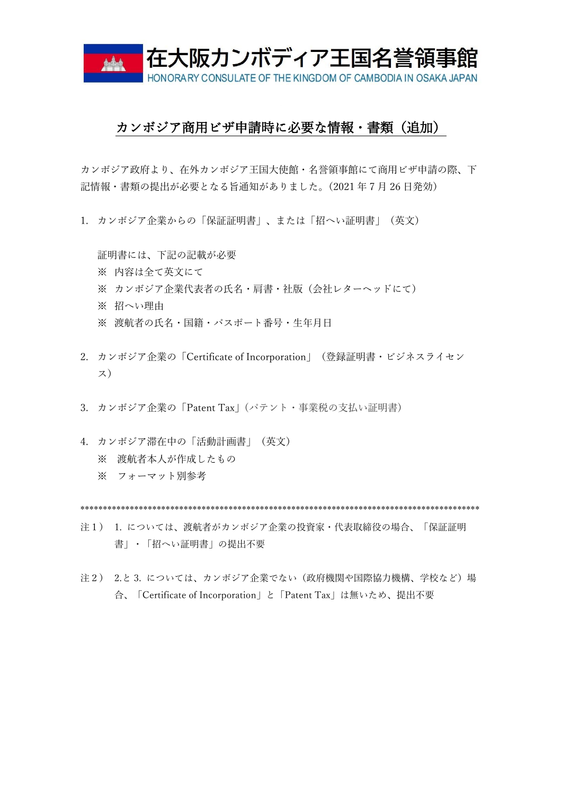

## カンボジア商用ビザ申請時に必要な情報・書類(追加)

カンボジア政府より、在外カンボジア王国大使館・名誉領事館にて商用ビザ申請の際、下 記情報・書類の提出が必要となる旨通知がありました。(2021 年 7 月 26 日発効)

1. カンボジア企業からの「保証証明書」、または「招へい証明書」(英文)

証明書には、下記の記載が必要 ※ 内容は全て英文にて ※ カンボジア企業代表者の氏名・肩書・社版(会社レターヘッドにて) ※ 招へい理由 ※ 渡航者の氏名・国籍・パスポート番号・生年月日

- 2. カンボジア企業の「Certificate of Incorporation」(登録証明書・ビジネスライセン ス)
- 3. カンボジア企業の「Patent Tax」(パテント・事業税の支払い証明書)
- 4. カンボジア滞在中の「活動計画書」(英文) ※ 渡航者本人が作成したもの ※ フォーマット別参考

\*\*\*\*\*\*\*\*\*\*\*\*\*\*\*\*\*\*\*\*\*\*\*\*\*\*\*\*\*\*\*\*\*\*\*\*\*\*\*\*\*\*\*\*\*\*\*\*\*\*\*\*\*\*\*\*\*\*\*\*\*\*\*\*\*\*\*\*\*\*\*\*\*\*\*\*\*\*\*\*\*\*\*\*\*\*\*\*\*

- 注1) 1. については、渡航者がカンボジア企業の投資家・代表取締役の場合、「保証証明 書」・「招へい証明書」の提出不要
- 注2) 2.と 3. については、カンボジア企業でない(政府機関や国際協力機構、学校など)場 合、「Certificate of Incorporation」と「Patent Tax」は無いため、提出不要